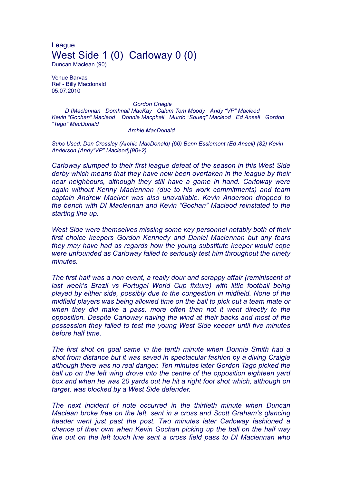League West Side 1 (0) Carloway 0 (0)

Duncan Maclean (90)

Venue Barvas Ref - Billy Macdonald 05.07.2010

## *Gordon Craigie*

*D IMaclennan Domhnall MacKay Calum Tom Moody Andy "VP" Macleod Kevin "Gochan" Macleod Donnie Macphail Murdo "Squeq" Macleod Ed Ansell Gordon "Tago" MacDonald*

## *Archie MacDonald*

*Subs Used: Dan Crossley (Archie MacDonald) (60) Benn Esslemont (Ed Ansell) (82) Kevin Anderson (Andy"VP" Macleod)(90+2)*

*Carloway slumped to their first league defeat of the season in this West Side derby which means that they have now been overtaken in the league by their near neighbours, although they still have a game in hand. Carloway were again without Kenny Maclennan (due to his work commitments) and team captain Andrew Maciver was also unavailable. Kevin Anderson dropped to the bench with DI Maclennan and Kevin "Gochan" Macleod reinstated to the starting line up.*

*West Side were themselves missing some key personnel notably both of their first choice keepers Gordon Kennedy and Daniel Maclennan but any fears they may have had as regards how the young substitute keeper would cope were unfounded as Carloway failed to seriously test him throughout the ninety minutes.*

*The first half was a non event, a really dour and scrappy affair (reminiscent of last week's Brazil vs Portugal World Cup fixture) with little football being played by either side, possibly due to the congestion in midfield. None of the midfield players was being allowed time on the ball to pick out a team mate or when they did make a pass, more often than not it went directly to the opposition. Despite Carloway having the wind at their backs and most of the possession they failed to test the young West Side keeper until five minutes before half time.*

*The first shot on goal came in the tenth minute when Donnie Smith had a shot from distance but it was saved in spectacular fashion by a diving Craigie although there was no real danger. Ten minutes later Gordon Tago picked the ball up on the left wing drove into the centre of the opposition eighteen yard box and when he was 20 yards out he hit a right foot shot which, although on target, was blocked by a West Side defender.*

*The next incident of note occurred in the thirtieth minute when Duncan Maclean broke free on the left, sent in a cross and Scott Graham's glancing header went just past the post. Two minutes later Carloway fashioned a chance of their own when Kevin Gochan picking up the ball on the half way line out on the left touch line sent a cross field pass to DI Maclennan who*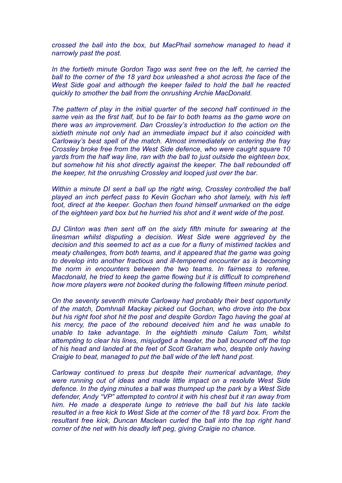*crossed the ball into the box, but MacPhail somehow managed to head it narrowly past the post.*

*In the fortieth minute Gordon Tago was sent free on the left, he carried the ball to the corner of the 18 yard box unleashed a shot across the face of the West Side goal and although the keeper failed to hold the ball he reacted quickly to smother the ball from the onrushing Archie MacDonald.*

*The pattern of play in the initial quarter of the second half continued in the same vein as the first half, but to be fair to both teams as the game wore on there was an improvement. Dan Crossley's introduction to the action on the sixtieth minute not only had an immediate impact but it also coincided with Carloway's best spell of the match. Almost immediately on entering the fray Crossley broke free from the West Side defence, who were caught square 10 yards from the half way line, ran with the ball to just outside the eighteen box, but somehow hit his shot directly against the keeper. The ball rebounded off the keeper, hit the onrushing Crossley and looped just over the bar.*

*Within a minute DI sent a ball up the right wing, Crossley controlled the ball played an inch perfect pass to Kevin Gochan who shot lamely, with his left foot, direct at the keeper. Gochan then found himself unmarked on the edge of the eighteen yard box but he hurried his shot and it went wide of the post.*

*DJ Clinton was then sent off on the sixty fifth minute for swearing at the linesman whilst disputing a decision. West Side were aggrieved by the decision and this seemed to act as a cue for a flurry of mistimed tackles and meaty challenges, from both teams, and it appeared that the game was going to develop into another fractious and ill-tempered encounter as is becoming the norm in encounters between the two teams. In fairness to referee, Macdonald, he tried to keep the game flowing but it is difficult to comprehend how more players were not booked during the following fifteen minute period.*

*On the seventy seventh minute Carloway had probably their best opportunity of the match, Domhnall Mackay picked out Gochan, who drove into the box but his right foot shot hit the post and despite Gordon Tago having the goal at his mercy, the pace of the rebound deceived him and he was unable to unable to take advantage. In the eightieth minute Calum Tom, whilst attempting to clear his lines, misjudged a header, the ball bounced off the top of his head and landed at the feet of Scott Graham who, despite only having Craigie to beat, managed to put the ball wide of the left hand post.*

*Carloway continued to press but despite their numerical advantage, they were running out of ideas and made little impact on a resolute West Side defence. In the dying minutes a ball was thumped up the park by a West Side defender, Andy "VP" attempted to control it with his chest but it ran away from him. He made a desperate lunge to retrieve the ball but his late tackle resulted in a free kick to West Side at the corner of the 18 yard box. From the resultant free kick, Duncan Maclean curled the ball into the top right hand corner of the net with his deadly left peg, giving Craigie no chance.*